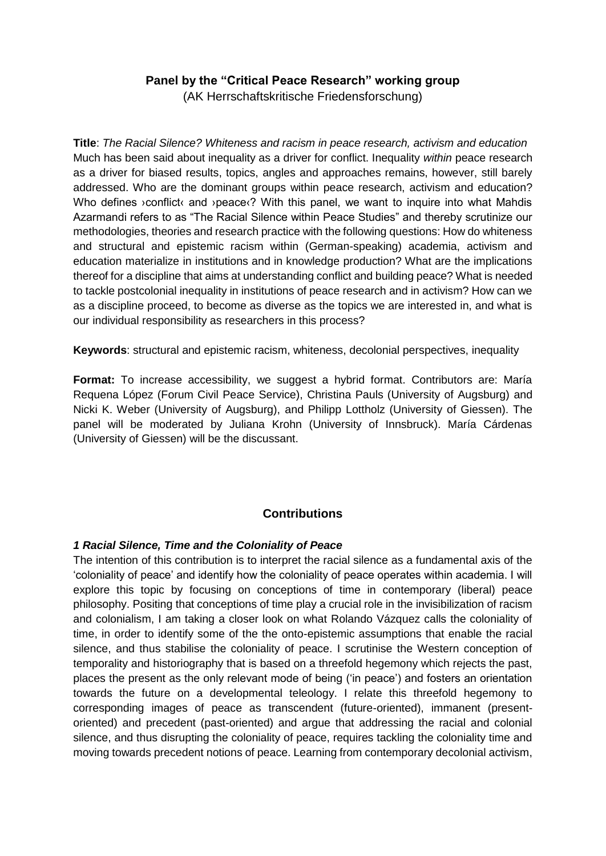## **Panel by the "Critical Peace Research" working group**

(AK Herrschaftskritische Friedensforschung)

**Title**: *The Racial Silence? Whiteness and racism in peace research, activism and education* Much has been said about inequality as a driver for conflict. Inequality *within* peace research as a driver for biased results, topics, angles and approaches remains, however, still barely addressed. Who are the dominant groups within peace research, activism and education? Who defines >conflict< and >peace<? With this panel, we want to inquire into what Mahdis Azarmandi refers to as "The Racial Silence within Peace Studies" and thereby scrutinize our methodologies, theories and research practice with the following questions: How do whiteness and structural and epistemic racism within (German-speaking) academia, activism and education materialize in institutions and in knowledge production? What are the implications thereof for a discipline that aims at understanding conflict and building peace? What is needed to tackle postcolonial inequality in institutions of peace research and in activism? How can we as a discipline proceed, to become as diverse as the topics we are interested in, and what is our individual responsibility as researchers in this process?

**Keywords**: structural and epistemic racism, whiteness, decolonial perspectives, inequality

**Format:** To increase accessibility, we suggest a hybrid format. Contributors are: María Requena López (Forum Civil Peace Service), Christina Pauls (University of Augsburg) and Nicki K. Weber (University of Augsburg), and Philipp Lottholz (University of Giessen). The panel will be moderated by Juliana Krohn (University of Innsbruck). María Cárdenas (University of Giessen) will be the discussant.

# **Contributions**

### *1 Racial Silence, Time and the Coloniality of Peace*

The intention of this contribution is to interpret the racial silence as a fundamental axis of the 'coloniality of peace' and identify how the coloniality of peace operates within academia. I will explore this topic by focusing on conceptions of time in contemporary (liberal) peace philosophy. Positing that conceptions of time play a crucial role in the invisibilization of racism and colonialism, I am taking a closer look on what Rolando Vázquez calls the coloniality of time, in order to identify some of the the onto-epistemic assumptions that enable the racial silence, and thus stabilise the coloniality of peace. I scrutinise the Western conception of temporality and historiography that is based on a threefold hegemony which rejects the past, places the present as the only relevant mode of being ('in peace') and fosters an orientation towards the future on a developmental teleology. I relate this threefold hegemony to corresponding images of peace as transcendent (future-oriented), immanent (presentoriented) and precedent (past-oriented) and argue that addressing the racial and colonial silence, and thus disrupting the coloniality of peace, requires tackling the coloniality time and moving towards precedent notions of peace. Learning from contemporary decolonial activism,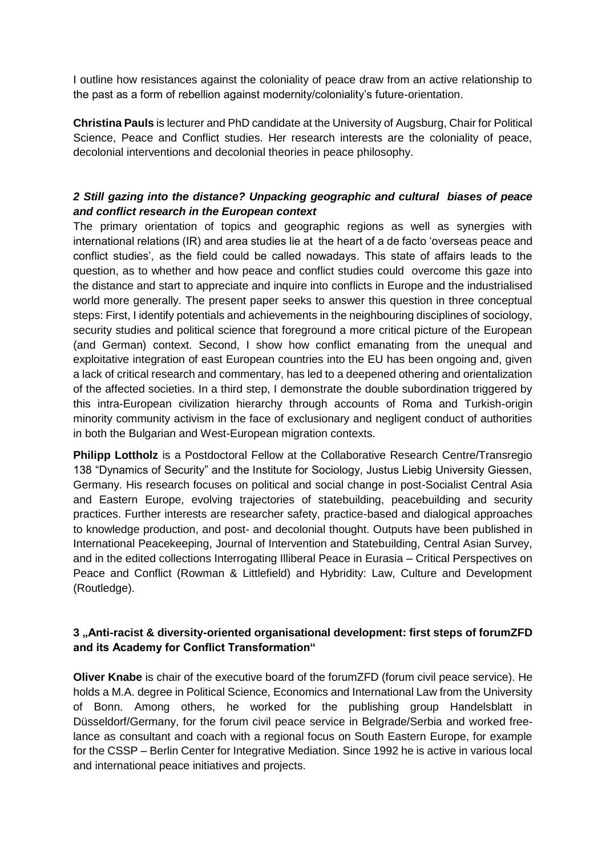I outline how resistances against the coloniality of peace draw from an active relationship to the past as a form of rebellion against modernity/coloniality's future-orientation.

**Christina Pauls** is lecturer and PhD candidate at the University of Augsburg, Chair for Political Science, Peace and Conflict studies. Her research interests are the coloniality of peace, decolonial interventions and decolonial theories in peace philosophy.

### *2 Still gazing into the distance? Unpacking geographic and cultural biases of peace and conflict research in the European context*

The primary orientation of topics and geographic regions as well as synergies with international relations (IR) and area studies lie at the heart of a de facto 'overseas peace and conflict studies', as the field could be called nowadays. This state of affairs leads to the question, as to whether and how peace and conflict studies could overcome this gaze into the distance and start to appreciate and inquire into conflicts in Europe and the industrialised world more generally. The present paper seeks to answer this question in three conceptual steps: First, I identify potentials and achievements in the neighbouring disciplines of sociology, security studies and political science that foreground a more critical picture of the European (and German) context. Second, I show how conflict emanating from the unequal and exploitative integration of east European countries into the EU has been ongoing and, given a lack of critical research and commentary, has led to a deepened othering and orientalization of the affected societies. In a third step, I demonstrate the double subordination triggered by this intra-European civilization hierarchy through accounts of Roma and Turkish-origin minority community activism in the face of exclusionary and negligent conduct of authorities in both the Bulgarian and West-European migration contexts.

**Philipp Lottholz** is a Postdoctoral Fellow at the Collaborative Research Centre/Transregio 138 "Dynamics of Security" and the Institute for Sociology, Justus Liebig University Giessen, Germany. His research focuses on political and social change in post-Socialist Central Asia and Eastern Europe, evolving trajectories of statebuilding, peacebuilding and security practices. Further interests are researcher safety, practice-based and dialogical approaches to knowledge production, and post- and decolonial thought. Outputs have been published in International Peacekeeping, Journal of Intervention and Statebuilding, Central Asian Survey, and in the edited collections Interrogating Illiberal Peace in Eurasia – Critical Perspectives on Peace and Conflict (Rowman & Littlefield) and Hybridity: Law, Culture and Development (Routledge).

### **3 "Anti-racist & diversity-oriented organisational development: first steps of forumZFD and its Academy for Conflict Transformation"**

**Oliver Knabe** is chair of the executive board of the forumZFD (forum civil peace service). He holds a M.A. degree in Political Science, Economics and International Law from the University of Bonn. Among others, he worked for the publishing group Handelsblatt in Düsseldorf/Germany, for the forum civil peace service in Belgrade/Serbia and worked freelance as consultant and coach with a regional focus on South Eastern Europe, for example for the CSSP – Berlin Center for Integrative Mediation. Since 1992 he is active in various local and international peace initiatives and projects.